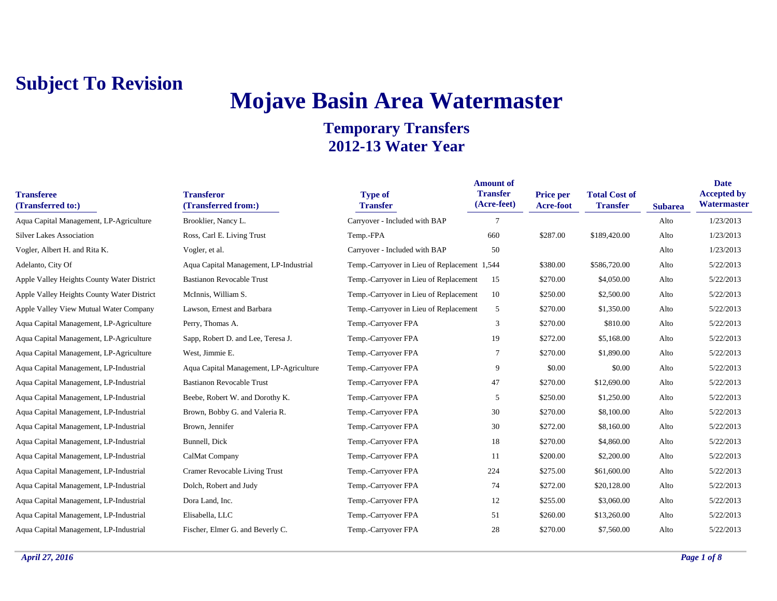# **Mojave Basin Area Watermaster**

| <b>Transferee</b><br>(Transferred to:)     | <b>Transferor</b><br>(Transferred from:) | <b>Type of</b><br><b>Transfer</b>            | <b>Amount of</b><br><b>Transfer</b><br>(Acre-feet) | <b>Price per</b><br><b>Acre-foot</b> | <b>Total Cost of</b><br><b>Transfer</b> | <b>Subarea</b> | <b>Date</b><br><b>Accepted by</b><br>Watermaster |
|--------------------------------------------|------------------------------------------|----------------------------------------------|----------------------------------------------------|--------------------------------------|-----------------------------------------|----------------|--------------------------------------------------|
| Aqua Capital Management, LP-Agriculture    | Brooklier, Nancy L.                      | Carryover - Included with BAP                | $7\phantom{.0}$                                    |                                      |                                         | Alto           | 1/23/2013                                        |
| <b>Silver Lakes Association</b>            | Ross, Carl E. Living Trust               | Temp.-FPA                                    | 660                                                | \$287.00                             | \$189,420.00                            | Alto           | 1/23/2013                                        |
| Vogler, Albert H. and Rita K.              | Vogler, et al.                           | Carryover - Included with BAP                | 50                                                 |                                      |                                         | Alto           | 1/23/2013                                        |
| Adelanto, City Of                          | Aqua Capital Management, LP-Industrial   | Temp.-Carryover in Lieu of Replacement 1,544 |                                                    | \$380.00                             | \$586,720.00                            | Alto           | 5/22/2013                                        |
| Apple Valley Heights County Water District | <b>Bastianon Revocable Trust</b>         | Temp.-Carryover in Lieu of Replacement       | 15                                                 | \$270.00                             | \$4,050.00                              | Alto           | 5/22/2013                                        |
| Apple Valley Heights County Water District | McInnis, William S.                      | Temp.-Carryover in Lieu of Replacement       | 10                                                 | \$250.00                             | \$2,500.00                              | Alto           | 5/22/2013                                        |
| Apple Valley View Mutual Water Company     | Lawson, Ernest and Barbara               | Temp.-Carryover in Lieu of Replacement       | 5                                                  | \$270.00                             | \$1,350.00                              | Alto           | 5/22/2013                                        |
| Aqua Capital Management, LP-Agriculture    | Perry, Thomas A.                         | Temp.-Carryover FPA                          | 3                                                  | \$270.00                             | \$810.00                                | Alto           | 5/22/2013                                        |
| Aqua Capital Management, LP-Agriculture    | Sapp, Robert D. and Lee, Teresa J.       | Temp.-Carryover FPA                          | 19                                                 | \$272.00                             | \$5,168.00                              | Alto           | 5/22/2013                                        |
| Aqua Capital Management, LP-Agriculture    | West, Jimmie E.                          | Temp.-Carryover FPA                          | -7                                                 | \$270.00                             | \$1,890.00                              | Alto           | 5/22/2013                                        |
| Aqua Capital Management, LP-Industrial     | Aqua Capital Management, LP-Agriculture  | Temp.-Carryover FPA                          | 9                                                  | \$0.00                               | \$0.00                                  | Alto           | 5/22/2013                                        |
| Aqua Capital Management, LP-Industrial     | <b>Bastianon Revocable Trust</b>         | Temp.-Carryover FPA                          | 47                                                 | \$270.00                             | \$12,690.00                             | Alto           | 5/22/2013                                        |
| Aqua Capital Management, LP-Industrial     | Beebe, Robert W. and Dorothy K.          | Temp.-Carryover FPA                          | 5                                                  | \$250.00                             | \$1,250.00                              | Alto           | 5/22/2013                                        |
| Aqua Capital Management, LP-Industrial     | Brown, Bobby G. and Valeria R.           | Temp.-Carryover FPA                          | 30                                                 | \$270.00                             | \$8,100.00                              | Alto           | 5/22/2013                                        |
| Aqua Capital Management, LP-Industrial     | Brown, Jennifer                          | Temp.-Carryover FPA                          | 30                                                 | \$272.00                             | \$8,160.00                              | Alto           | 5/22/2013                                        |
| Aqua Capital Management, LP-Industrial     | Bunnell, Dick                            | Temp.-Carryover FPA                          | 18                                                 | \$270.00                             | \$4,860.00                              | Alto           | 5/22/2013                                        |
| Aqua Capital Management, LP-Industrial     | CalMat Company                           | Temp.-Carryover FPA                          | 11                                                 | \$200.00                             | \$2,200.00                              | Alto           | 5/22/2013                                        |
| Aqua Capital Management, LP-Industrial     | Cramer Revocable Living Trust            | Temp.-Carryover FPA                          | 224                                                | \$275.00                             | \$61,600.00                             | Alto           | 5/22/2013                                        |
| Aqua Capital Management, LP-Industrial     | Dolch, Robert and Judy                   | Temp.-Carryover FPA                          | 74                                                 | \$272.00                             | \$20,128.00                             | Alto           | 5/22/2013                                        |
| Aqua Capital Management, LP-Industrial     | Dora Land, Inc.                          | Temp.-Carryover FPA                          | 12                                                 | \$255.00                             | \$3,060.00                              | Alto           | 5/22/2013                                        |
| Aqua Capital Management, LP-Industrial     | Elisabella, LLC                          | Temp.-Carryover FPA                          | 51                                                 | \$260.00                             | \$13,260.00                             | Alto           | 5/22/2013                                        |
| Aqua Capital Management, LP-Industrial     | Fischer, Elmer G. and Beverly C.         | Temp.-Carryover FPA                          | 28                                                 | \$270.00                             | \$7,560.00                              | Alto           | 5/22/2013                                        |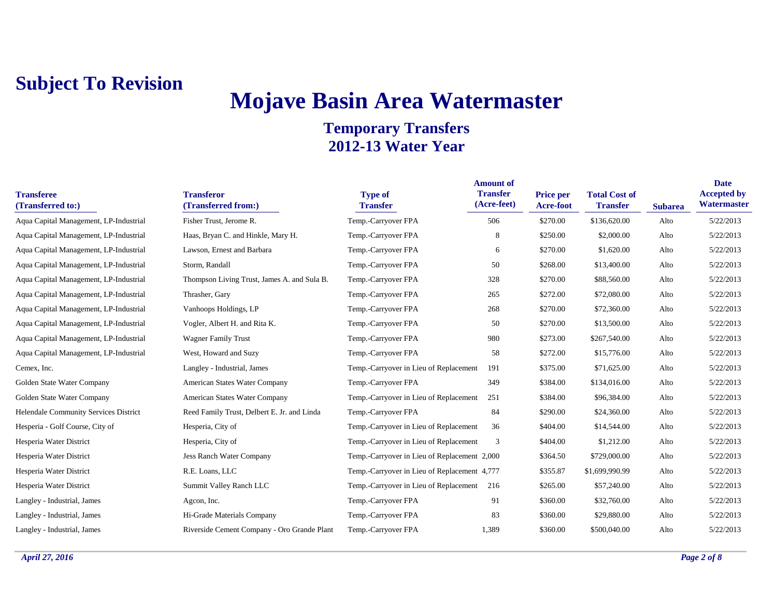# **Mojave Basin Area Watermaster**

| <b>Transferee</b><br>(Transferred to:) | <b>Transferor</b><br>(Transferred from:)    | <b>Type of</b><br><b>Transfer</b>            | <b>Amount of</b><br><b>Transfer</b><br>(Acre-feet) | Price per<br>Acre-foot | <b>Total Cost of</b><br><b>Transfer</b> | <b>Subarea</b> | <b>Date</b><br><b>Accepted by</b><br>Watermaster |
|----------------------------------------|---------------------------------------------|----------------------------------------------|----------------------------------------------------|------------------------|-----------------------------------------|----------------|--------------------------------------------------|
| Aqua Capital Management, LP-Industrial | Fisher Trust, Jerome R.                     | Temp.-Carryover FPA                          | 506                                                | \$270.00               | \$136,620.00                            | Alto           | 5/22/2013                                        |
| Aqua Capital Management, LP-Industrial | Haas, Bryan C. and Hinkle, Mary H.          | Temp.-Carryover FPA                          | 8                                                  | \$250.00               | \$2,000.00                              | Alto           | 5/22/2013                                        |
| Aqua Capital Management, LP-Industrial | Lawson, Ernest and Barbara                  | Temp.-Carryover FPA                          | 6                                                  | \$270.00               | \$1,620.00                              | Alto           | 5/22/2013                                        |
| Aqua Capital Management, LP-Industrial | Storm, Randall                              | Temp.-Carryover FPA                          | 50                                                 | \$268.00               | \$13,400.00                             | Alto           | 5/22/2013                                        |
| Aqua Capital Management, LP-Industrial | Thompson Living Trust, James A. and Sula B. | Temp.-Carryover FPA                          | 328                                                | \$270.00               | \$88,560.00                             | Alto           | 5/22/2013                                        |
| Aqua Capital Management, LP-Industrial | Thrasher, Gary                              | Temp.-Carryover FPA                          | 265                                                | \$272.00               | \$72,080.00                             | Alto           | 5/22/2013                                        |
| Aqua Capital Management, LP-Industrial | Vanhoops Holdings, LP                       | Temp.-Carryover FPA                          | 268                                                | \$270.00               | \$72,360.00                             | Alto           | 5/22/2013                                        |
| Aqua Capital Management, LP-Industrial | Vogler, Albert H. and Rita K.               | Temp.-Carryover FPA                          | 50                                                 | \$270.00               | \$13,500.00                             | Alto           | 5/22/2013                                        |
| Aqua Capital Management, LP-Industrial | <b>Wagner Family Trust</b>                  | Temp.-Carryover FPA                          | 980                                                | \$273.00               | \$267,540.00                            | Alto           | 5/22/2013                                        |
| Aqua Capital Management, LP-Industrial | West, Howard and Suzy                       | Temp.-Carryover FPA                          | 58                                                 | \$272.00               | \$15,776.00                             | Alto           | 5/22/2013                                        |
| Cemex, Inc.                            | Langley - Industrial, James                 | Temp.-Carryover in Lieu of Replacement       | 191                                                | \$375.00               | \$71,625.00                             | Alto           | 5/22/2013                                        |
| Golden State Water Company             | American States Water Company               | Temp.-Carryover FPA                          | 349                                                | \$384.00               | \$134,016.00                            | Alto           | 5/22/2013                                        |
| Golden State Water Company             | American States Water Company               | Temp.-Carryover in Lieu of Replacement       | 251                                                | \$384.00               | \$96,384.00                             | Alto           | 5/22/2013                                        |
| Helendale Community Services District  | Reed Family Trust, Delbert E. Jr. and Linda | Temp.-Carryover FPA                          | 84                                                 | \$290.00               | \$24,360.00                             | Alto           | 5/22/2013                                        |
| Hesperia - Golf Course, City of        | Hesperia, City of                           | Temp.-Carryover in Lieu of Replacement       | 36                                                 | \$404.00               | \$14,544.00                             | Alto           | 5/22/2013                                        |
| Hesperia Water District                | Hesperia, City of                           | Temp.-Carryover in Lieu of Replacement       | 3                                                  | \$404.00               | \$1,212.00                              | Alto           | 5/22/2013                                        |
| Hesperia Water District                | <b>Jess Ranch Water Company</b>             | Temp.-Carryover in Lieu of Replacement 2,000 |                                                    | \$364.50               | \$729,000.00                            | Alto           | 5/22/2013                                        |
| Hesperia Water District                | R.E. Loans, LLC                             | Temp.-Carryover in Lieu of Replacement 4,777 |                                                    | \$355.87               | \$1,699,990.99                          | Alto           | 5/22/2013                                        |
| Hesperia Water District                | Summit Valley Ranch LLC                     | Temp.-Carryover in Lieu of Replacement       | 216                                                | \$265.00               | \$57,240.00                             | Alto           | 5/22/2013                                        |
| Langley - Industrial, James            | Agcon, Inc.                                 | Temp.-Carryover FPA                          | 91                                                 | \$360.00               | \$32,760.00                             | Alto           | 5/22/2013                                        |
| Langley - Industrial, James            | Hi-Grade Materials Company                  | Temp.-Carryover FPA                          | 83                                                 | \$360.00               | \$29,880.00                             | Alto           | 5/22/2013                                        |
| Langley - Industrial, James            | Riverside Cement Company - Oro Grande Plant | Temp.-Carryover FPA                          | 1.389                                              | \$360.00               | \$500,040.00                            | Alto           | 5/22/2013                                        |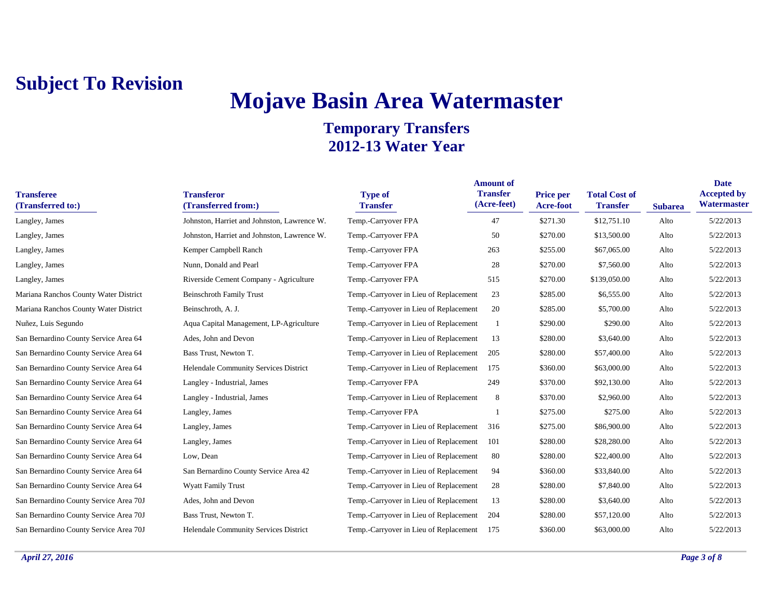# **Mojave Basin Area Watermaster**

| <b>Transferee</b><br>(Transferred to:) | <b>Transferor</b><br>(Transferred from:)    | <b>Type of</b><br><b>Transfer</b>      | <b>Amount of</b><br><b>Transfer</b><br>(Acre-feet) | Price per<br><b>Acre-foot</b> | <b>Total Cost of</b><br><b>Transfer</b> | <b>Subarea</b> | <b>Date</b><br><b>Accepted by</b><br>Watermaster |
|----------------------------------------|---------------------------------------------|----------------------------------------|----------------------------------------------------|-------------------------------|-----------------------------------------|----------------|--------------------------------------------------|
| Langley, James                         | Johnston, Harriet and Johnston, Lawrence W. | Temp.-Carryover FPA                    | 47                                                 | \$271.30                      | \$12,751.10                             | Alto           | 5/22/2013                                        |
| Langley, James                         | Johnston, Harriet and Johnston, Lawrence W. | Temp.-Carryover FPA                    | 50                                                 | \$270.00                      | \$13,500.00                             | Alto           | 5/22/2013                                        |
| Langley, James                         | Kemper Campbell Ranch                       | Temp.-Carryover FPA                    | 263                                                | \$255.00                      | \$67,065.00                             | Alto           | 5/22/2013                                        |
| Langley, James                         | Nunn, Donald and Pearl                      | Temp.-Carryover FPA                    | 28                                                 | \$270.00                      | \$7,560.00                              | Alto           | 5/22/2013                                        |
| Langley, James                         | Riverside Cement Company - Agriculture      | Temp.-Carryover FPA                    | 515                                                | \$270.00                      | \$139,050.00                            | Alto           | 5/22/2013                                        |
| Mariana Ranchos County Water District  | <b>Beinschroth Family Trust</b>             | Temp.-Carryover in Lieu of Replacement | 23                                                 | \$285.00                      | \$6,555.00                              | Alto           | 5/22/2013                                        |
| Mariana Ranchos County Water District  | Beinschroth, A. J.                          | Temp.-Carryover in Lieu of Replacement | 20                                                 | \$285.00                      | \$5,700.00                              | Alto           | 5/22/2013                                        |
| Nuñez, Luis Segundo                    | Aqua Capital Management, LP-Agriculture     | Temp.-Carryover in Lieu of Replacement |                                                    | \$290.00                      | \$290.00                                | Alto           | 5/22/2013                                        |
| San Bernardino County Service Area 64  | Ades, John and Devon                        | Temp.-Carryover in Lieu of Replacement | 13                                                 | \$280.00                      | \$3,640.00                              | Alto           | 5/22/2013                                        |
| San Bernardino County Service Area 64  | Bass Trust, Newton T.                       | Temp.-Carryover in Lieu of Replacement | 205                                                | \$280.00                      | \$57,400.00                             | Alto           | 5/22/2013                                        |
| San Bernardino County Service Area 64  | Helendale Community Services District       | Temp.-Carryover in Lieu of Replacement | 175                                                | \$360.00                      | \$63,000.00                             | Alto           | 5/22/2013                                        |
| San Bernardino County Service Area 64  | Langley - Industrial, James                 | Temp.-Carryover FPA                    | 249                                                | \$370.00                      | \$92,130.00                             | Alto           | 5/22/2013                                        |
| San Bernardino County Service Area 64  | Langley - Industrial, James                 | Temp.-Carryover in Lieu of Replacement | 8                                                  | \$370.00                      | \$2,960.00                              | Alto           | 5/22/2013                                        |
| San Bernardino County Service Area 64  | Langley, James                              | Temp.-Carryover FPA                    |                                                    | \$275.00                      | \$275.00                                | Alto           | 5/22/2013                                        |
| San Bernardino County Service Area 64  | Langley, James                              | Temp.-Carryover in Lieu of Replacement | 316                                                | \$275.00                      | \$86,900.00                             | Alto           | 5/22/2013                                        |
| San Bernardino County Service Area 64  | Langley, James                              | Temp.-Carryover in Lieu of Replacement | 101                                                | \$280.00                      | \$28,280.00                             | Alto           | 5/22/2013                                        |
| San Bernardino County Service Area 64  | Low, Dean                                   | Temp.-Carryover in Lieu of Replacement | 80                                                 | \$280.00                      | \$22,400.00                             | Alto           | 5/22/2013                                        |
| San Bernardino County Service Area 64  | San Bernardino County Service Area 42       | Temp.-Carryover in Lieu of Replacement | 94                                                 | \$360.00                      | \$33,840.00                             | Alto           | 5/22/2013                                        |
| San Bernardino County Service Area 64  | <b>Wyatt Family Trust</b>                   | Temp.-Carryover in Lieu of Replacement | 28                                                 | \$280.00                      | \$7,840.00                              | Alto           | 5/22/2013                                        |
| San Bernardino County Service Area 70J | Ades, John and Devon                        | Temp.-Carryover in Lieu of Replacement | 13                                                 | \$280.00                      | \$3,640.00                              | Alto           | 5/22/2013                                        |
| San Bernardino County Service Area 70J | Bass Trust, Newton T.                       | Temp.-Carryover in Lieu of Replacement | 204                                                | \$280.00                      | \$57,120.00                             | Alto           | 5/22/2013                                        |
| San Bernardino County Service Area 70J | Helendale Community Services District       | Temp.-Carryover in Lieu of Replacement | 175                                                | \$360.00                      | \$63,000.00                             | Alto           | 5/22/2013                                        |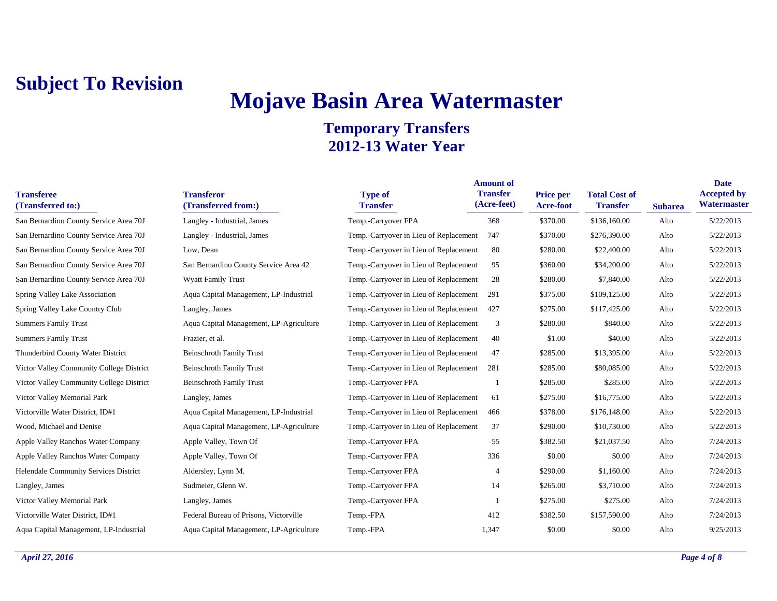# **Mojave Basin Area Watermaster**

| <b>Transferee</b><br>(Transferred to:)    | <b>Transferor</b><br>(Transferred from:) | <b>Type of</b><br><b>Transfer</b>      | <b>Amount of</b><br><b>Transfer</b><br>(Acre-feet) | <b>Price per</b><br><b>Acre-foot</b> | <b>Total Cost of</b><br><b>Transfer</b> | <b>Subarea</b> | <b>Date</b><br><b>Accepted by</b><br>Watermaster |
|-------------------------------------------|------------------------------------------|----------------------------------------|----------------------------------------------------|--------------------------------------|-----------------------------------------|----------------|--------------------------------------------------|
| San Bernardino County Service Area 70J    | Langley - Industrial, James              | Temp.-Carryover FPA                    | 368                                                | \$370.00                             | \$136,160.00                            | Alto           | 5/22/2013                                        |
| San Bernardino County Service Area 70J    | Langley - Industrial, James              | Temp.-Carryover in Lieu of Replacement | 747                                                | \$370.00                             | \$276,390.00                            | Alto           | 5/22/2013                                        |
| San Bernardino County Service Area 70J    | Low, Dean                                | Temp.-Carryover in Lieu of Replacement | -80                                                | \$280.00                             | \$22,400.00                             | Alto           | 5/22/2013                                        |
| San Bernardino County Service Area 70J    | San Bernardino County Service Area 42    | Temp.-Carryover in Lieu of Replacement | 95                                                 | \$360.00                             | \$34,200.00                             | Alto           | 5/22/2013                                        |
| San Bernardino County Service Area 70J    | <b>Wyatt Family Trust</b>                | Temp.-Carryover in Lieu of Replacement | 28                                                 | \$280.00                             | \$7,840.00                              | Alto           | 5/22/2013                                        |
| <b>Spring Valley Lake Association</b>     | Aqua Capital Management, LP-Industrial   | Temp.-Carryover in Lieu of Replacement | 291                                                | \$375.00                             | \$109,125.00                            | Alto           | 5/22/2013                                        |
| Spring Valley Lake Country Club           | Langley, James                           | Temp.-Carryover in Lieu of Replacement | 427                                                | \$275.00                             | \$117,425.00                            | Alto           | 5/22/2013                                        |
| <b>Summers Family Trust</b>               | Aqua Capital Management, LP-Agriculture  | Temp.-Carryover in Lieu of Replacement | 3                                                  | \$280.00                             | \$840.00                                | Alto           | 5/22/2013                                        |
| <b>Summers Family Trust</b>               | Frazier, et al.                          | Temp.-Carryover in Lieu of Replacement | 40                                                 | \$1.00                               | \$40.00                                 | Alto           | 5/22/2013                                        |
| Thunderbird County Water District         | <b>Beinschroth Family Trust</b>          | Temp.-Carryover in Lieu of Replacement | 47                                                 | \$285.00                             | \$13,395.00                             | Alto           | 5/22/2013                                        |
| Victor Valley Community College District  | <b>Beinschroth Family Trust</b>          | Temp.-Carryover in Lieu of Replacement | 281                                                | \$285.00                             | \$80,085.00                             | Alto           | 5/22/2013                                        |
| Victor Valley Community College District  | <b>Beinschroth Family Trust</b>          | Temp.-Carryover FPA                    |                                                    | \$285.00                             | \$285.00                                | Alto           | 5/22/2013                                        |
| Victor Valley Memorial Park               | Langley, James                           | Temp.-Carryover in Lieu of Replacement | 61                                                 | \$275.00                             | \$16,775.00                             | Alto           | 5/22/2013                                        |
| Victorville Water District, ID#1          | Aqua Capital Management, LP-Industrial   | Temp.-Carryover in Lieu of Replacement | 466                                                | \$378.00                             | \$176,148.00                            | Alto           | 5/22/2013                                        |
| Wood, Michael and Denise                  | Aqua Capital Management, LP-Agriculture  | Temp.-Carryover in Lieu of Replacement | 37                                                 | \$290.00                             | \$10,730.00                             | Alto           | 5/22/2013                                        |
| <b>Apple Valley Ranchos Water Company</b> | Apple Valley, Town Of                    | Temp.-Carryover FPA                    | 55                                                 | \$382.50                             | \$21,037.50                             | Alto           | 7/24/2013                                        |
| <b>Apple Valley Ranchos Water Company</b> | Apple Valley, Town Of                    | Temp.-Carryover FPA                    | 336                                                | \$0.00                               | \$0.00                                  | Alto           | 7/24/2013                                        |
| Helendale Community Services District     | Aldersley, Lynn M.                       | Temp.-Carryover FPA                    | 4                                                  | \$290.00                             | \$1,160.00                              | Alto           | 7/24/2013                                        |
| Langley, James                            | Sudmeier, Glenn W.                       | Temp.-Carryover FPA                    | 14                                                 | \$265.00                             | \$3,710.00                              | Alto           | 7/24/2013                                        |
| Victor Valley Memorial Park               | Langley, James                           | Temp.-Carryover FPA                    |                                                    | \$275.00                             | \$275.00                                | Alto           | 7/24/2013                                        |
| Victorville Water District, ID#1          | Federal Bureau of Prisons, Victorville   | Temp.-FPA                              | 412                                                | \$382.50                             | \$157,590.00                            | Alto           | 7/24/2013                                        |
| Aqua Capital Management, LP-Industrial    | Aqua Capital Management, LP-Agriculture  | Temp.-FPA                              | 1,347                                              | \$0.00                               | \$0.00                                  | Alto           | 9/25/2013                                        |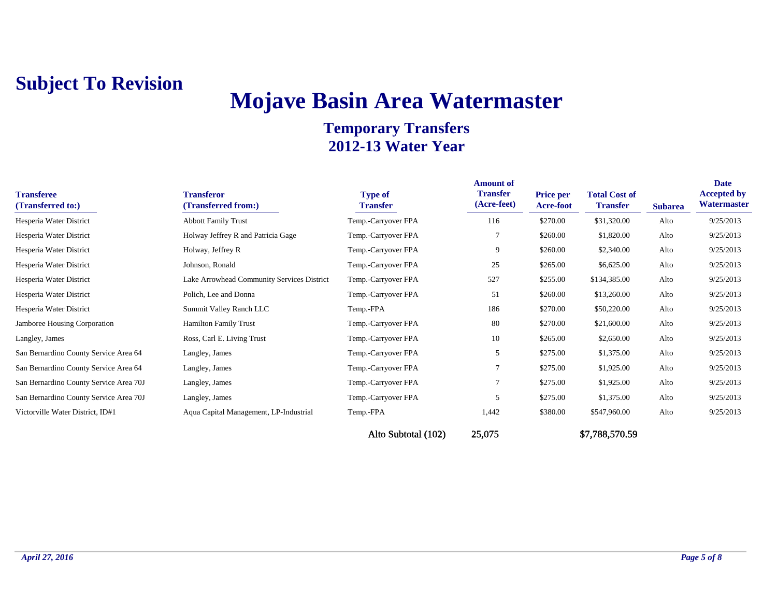# **Mojave Basin Area Watermaster**

| <b>Transferee</b><br>(Transferred to:) | <b>Transferor</b><br>(Transferred from:)   | <b>Type of</b><br><b>Transfer</b> | <b>Amount of</b><br><b>Transfer</b><br>(Acre-feet) | <b>Price per</b><br><b>Acre-foot</b> | <b>Total Cost of</b><br><b>Transfer</b> | <b>Subarea</b> | <b>Date</b><br><b>Accepted by</b><br>Watermaster |
|----------------------------------------|--------------------------------------------|-----------------------------------|----------------------------------------------------|--------------------------------------|-----------------------------------------|----------------|--------------------------------------------------|
| Hesperia Water District                | <b>Abbott Family Trust</b>                 | Temp.-Carryover FPA               | 116                                                | \$270.00                             | \$31,320.00                             | Alto           | 9/25/2013                                        |
| Hesperia Water District                | Holway Jeffrey R and Patricia Gage         | Temp.-Carryover FPA               | 7                                                  | \$260.00                             | \$1,820.00                              | Alto           | 9/25/2013                                        |
| Hesperia Water District                | Holway, Jeffrey R                          | Temp.-Carryover FPA               | 9                                                  | \$260.00                             | \$2,340.00                              | Alto           | 9/25/2013                                        |
| Hesperia Water District                | Johnson, Ronald                            | Temp.-Carryover FPA               | 25                                                 | \$265.00                             | \$6,625.00                              | Alto           | 9/25/2013                                        |
| Hesperia Water District                | Lake Arrowhead Community Services District | Temp.-Carryover FPA               | 527                                                | \$255.00                             | \$134,385.00                            | Alto           | 9/25/2013                                        |
| Hesperia Water District                | Polich, Lee and Donna                      | Temp.-Carryover FPA               | 51                                                 | \$260.00                             | \$13,260.00                             | Alto           | 9/25/2013                                        |
| Hesperia Water District                | Summit Valley Ranch LLC                    | Temp.-FPA                         | 186                                                | \$270.00                             | \$50,220.00                             | Alto           | 9/25/2013                                        |
| Jamboree Housing Corporation           | <b>Hamilton Family Trust</b>               | Temp.-Carryover FPA               | 80                                                 | \$270.00                             | \$21,600.00                             | Alto           | 9/25/2013                                        |
| Langley, James                         | Ross, Carl E. Living Trust                 | Temp.-Carryover FPA               | 10                                                 | \$265.00                             | \$2,650.00                              | Alto           | 9/25/2013                                        |
| San Bernardino County Service Area 64  | Langley, James                             | Temp.-Carryover FPA               | 5                                                  | \$275.00                             | \$1,375.00                              | Alto           | 9/25/2013                                        |
| San Bernardino County Service Area 64  | Langley, James                             | Temp.-Carryover FPA               |                                                    | \$275.00                             | \$1,925.00                              | Alto           | 9/25/2013                                        |
| San Bernardino County Service Area 70J | Langley, James                             | Temp.-Carryover FPA               |                                                    | \$275.00                             | \$1,925.00                              | Alto           | 9/25/2013                                        |
| San Bernardino County Service Area 70J | Langley, James                             | Temp.-Carryover FPA               | 5                                                  | \$275.00                             | \$1,375.00                              | Alto           | 9/25/2013                                        |
| Victorville Water District, ID#1       | Aqua Capital Management, LP-Industrial     | Temp.-FPA                         | 1,442                                              | \$380.00                             | \$547,960.00                            | Alto           | 9/25/2013                                        |
|                                        |                                            | Alto Subtotal (102)               | 25,075                                             |                                      | \$7,788,570.59                          |                |                                                  |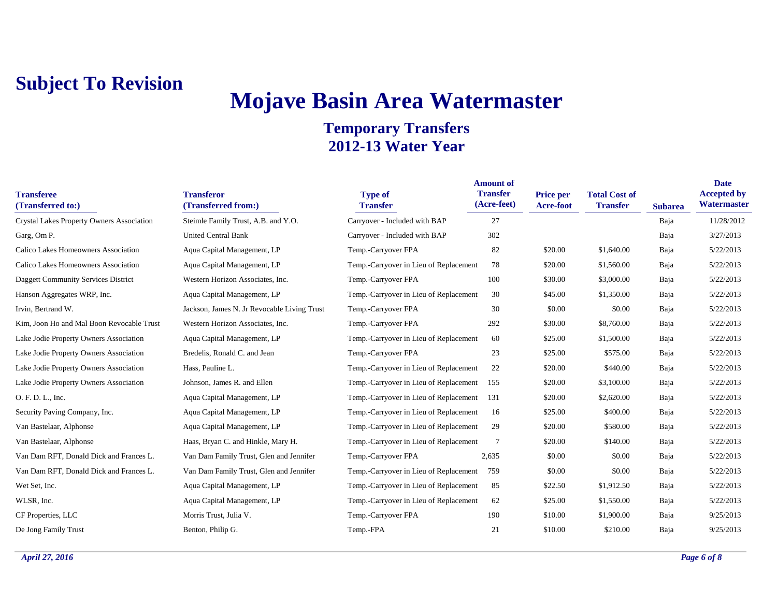# **Mojave Basin Area Watermaster**

| <b>Transferee</b><br>(Transferred to:)    | <b>Transferor</b><br>(Transferred from:)    | <b>Type of</b><br><b>Transfer</b>      | <b>Amount of</b><br><b>Transfer</b><br>(Acre-feet) | Price per<br><b>Acre-foot</b> | <b>Total Cost of</b><br><b>Transfer</b> | <b>Subarea</b> | <b>Date</b><br><b>Accepted by</b><br>Watermaster |
|-------------------------------------------|---------------------------------------------|----------------------------------------|----------------------------------------------------|-------------------------------|-----------------------------------------|----------------|--------------------------------------------------|
| Crystal Lakes Property Owners Association | Steimle Family Trust, A.B. and Y.O.         | Carryover - Included with BAP          | 27                                                 |                               |                                         | Baja           | 11/28/2012                                       |
| Garg, Om P.                               | <b>United Central Bank</b>                  | Carryover - Included with BAP          | 302                                                |                               |                                         | Baja           | 3/27/2013                                        |
| Calico Lakes Homeowners Association       | Aqua Capital Management, LP                 | Temp.-Carryover FPA                    | 82                                                 | \$20.00                       | \$1,640.00                              | Baja           | 5/22/2013                                        |
| Calico Lakes Homeowners Association       | Aqua Capital Management, LP                 | Temp.-Carryover in Lieu of Replacement | 78                                                 | \$20.00                       | \$1,560.00                              | Baja           | 5/22/2013                                        |
| Daggett Community Services District       | Western Horizon Associates, Inc.            | Temp.-Carryover FPA                    | 100                                                | \$30.00                       | \$3,000.00                              | Baja           | 5/22/2013                                        |
| Hanson Aggregates WRP, Inc.               | Aqua Capital Management, LP                 | Temp.-Carryover in Lieu of Replacement | 30                                                 | \$45.00                       | \$1,350.00                              | Baja           | 5/22/2013                                        |
| Irvin, Bertrand W.                        | Jackson, James N. Jr Revocable Living Trust | Temp.-Carryover FPA                    | 30                                                 | \$0.00                        | \$0.00                                  | Baja           | 5/22/2013                                        |
| Kim, Joon Ho and Mal Boon Revocable Trust | Western Horizon Associates, Inc.            | Temp.-Carryover FPA                    | 292                                                | \$30.00                       | \$8,760.00                              | Baja           | 5/22/2013                                        |
| Lake Jodie Property Owners Association    | Aqua Capital Management, LP                 | Temp.-Carryover in Lieu of Replacement | 60                                                 | \$25.00                       | \$1,500.00                              | Baja           | 5/22/2013                                        |
| Lake Jodie Property Owners Association    | Bredelis, Ronald C. and Jean                | Temp.-Carryover FPA                    | 23                                                 | \$25.00                       | \$575.00                                | Baja           | 5/22/2013                                        |
| Lake Jodie Property Owners Association    | Hass, Pauline L.                            | Temp.-Carryover in Lieu of Replacement | 22                                                 | \$20.00                       | \$440.00                                | Baja           | 5/22/2013                                        |
| Lake Jodie Property Owners Association    | Johnson, James R. and Ellen                 | Temp.-Carryover in Lieu of Replacement | 155                                                | \$20.00                       | \$3,100.00                              | Baja           | 5/22/2013                                        |
| O. F. D. L., Inc.                         | Aqua Capital Management, LP                 | Temp.-Carryover in Lieu of Replacement | 131                                                | \$20.00                       | \$2,620.00                              | Baja           | 5/22/2013                                        |
| Security Paving Company, Inc.             | Aqua Capital Management, LP                 | Temp.-Carryover in Lieu of Replacement | 16                                                 | \$25.00                       | \$400.00                                | Baja           | 5/22/2013                                        |
| Van Bastelaar, Alphonse                   | Aqua Capital Management, LP                 | Temp.-Carryover in Lieu of Replacement | 29                                                 | \$20.00                       | \$580.00                                | Baja           | 5/22/2013                                        |
| Van Bastelaar, Alphonse                   | Haas, Bryan C. and Hinkle, Mary H.          | Temp.-Carryover in Lieu of Replacement | 7                                                  | \$20.00                       | \$140.00                                | Baja           | 5/22/2013                                        |
| Van Dam RFT, Donald Dick and Frances L.   | Van Dam Family Trust, Glen and Jennifer     | Temp.-Carryover FPA                    | 2,635                                              | \$0.00                        | \$0.00                                  | Baja           | 5/22/2013                                        |
| Van Dam RFT, Donald Dick and Frances L.   | Van Dam Family Trust, Glen and Jennifer     | Temp.-Carryover in Lieu of Replacement | 759                                                | \$0.00                        | \$0.00                                  | Baja           | 5/22/2013                                        |
| Wet Set, Inc.                             | Aqua Capital Management, LP                 | Temp.-Carryover in Lieu of Replacement | 85                                                 | \$22.50                       | \$1,912.50                              | Baja           | 5/22/2013                                        |
| WLSR, Inc.                                | Aqua Capital Management, LP                 | Temp.-Carryover in Lieu of Replacement | 62                                                 | \$25.00                       | \$1,550.00                              | Baja           | 5/22/2013                                        |
| CF Properties, LLC                        | Morris Trust, Julia V.                      | Temp.-Carryover FPA                    | 190                                                | \$10.00                       | \$1,900.00                              | Baja           | 9/25/2013                                        |
| De Jong Family Trust                      | Benton, Philip G.                           | Temp.-FPA                              | 21                                                 | \$10.00                       | \$210.00                                | Baja           | 9/25/2013                                        |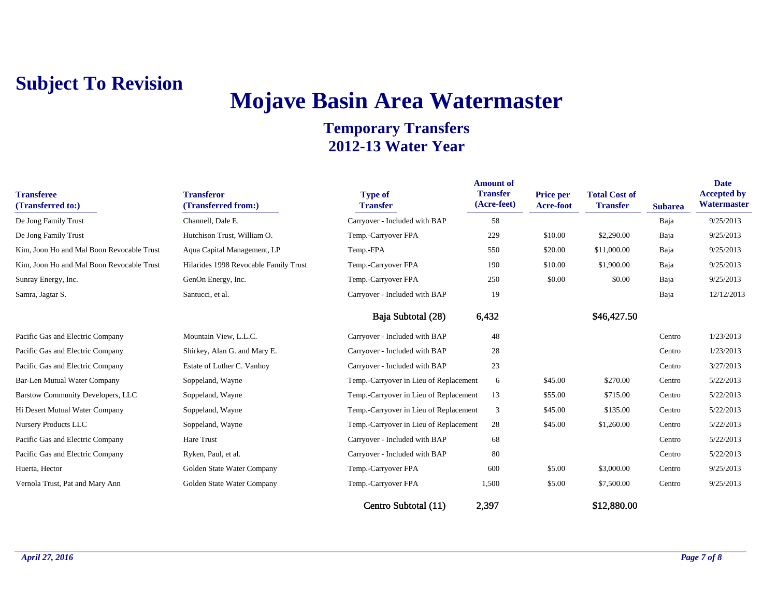# **Mojave Basin Area Watermaster**

| <b>Transferee</b><br>(Transferred to:)    | <b>Transferor</b><br>(Transferred from:) | <b>Type of</b><br><b>Transfer</b>      | <b>Amount of</b><br><b>Transfer</b><br>(Acre-feet) | <b>Price per</b><br>Acre-foot | <b>Total Cost of</b><br><b>Transfer</b> | <b>Subarea</b> | <b>Date</b><br><b>Accepted by</b><br>Watermaster |
|-------------------------------------------|------------------------------------------|----------------------------------------|----------------------------------------------------|-------------------------------|-----------------------------------------|----------------|--------------------------------------------------|
| De Jong Family Trust                      | Channell, Dale E.                        | Carryover - Included with BAP          | 58                                                 |                               |                                         | Baja           | 9/25/2013                                        |
| De Jong Family Trust                      | Hutchison Trust, William O.              | Temp.-Carryover FPA                    | 229                                                | \$10.00                       | \$2,290.00                              | Baja           | 9/25/2013                                        |
| Kim, Joon Ho and Mal Boon Revocable Trust | Aqua Capital Management, LP              | Temp.-FPA                              | 550                                                | \$20.00                       | \$11,000.00                             | Baja           | 9/25/2013                                        |
| Kim, Joon Ho and Mal Boon Revocable Trust | Hilarides 1998 Revocable Family Trust    | Temp.-Carryover FPA                    | 190                                                | \$10.00                       | \$1,900.00                              | Baja           | 9/25/2013                                        |
| Sunray Energy, Inc.                       | GenOn Energy, Inc.                       | Temp.-Carryover FPA                    | 250                                                | \$0.00                        | \$0.00                                  | Baja           | 9/25/2013                                        |
| Samra, Jagtar S.                          | Santucci, et al.                         | Carryover - Included with BAP          | 19                                                 |                               |                                         | Baja           | 12/12/2013                                       |
|                                           |                                          | Baja Subtotal (28)                     | 6,432                                              |                               | \$46,427.50                             |                |                                                  |
| Pacific Gas and Electric Company          | Mountain View, L.L.C.                    | Carryover - Included with BAP          | 48                                                 |                               |                                         | Centro         | 1/23/2013                                        |
| Pacific Gas and Electric Company          | Shirkey, Alan G. and Mary E.             | Carryover - Included with BAP          | 28                                                 |                               |                                         | Centro         | 1/23/2013                                        |
| Pacific Gas and Electric Company          | Estate of Luther C. Vanhoy               | Carryover - Included with BAP          | 23                                                 |                               |                                         | Centro         | 3/27/2013                                        |
| Bar-Len Mutual Water Company              | Soppeland, Wayne                         | Temp.-Carryover in Lieu of Replacement | 6                                                  | \$45.00                       | \$270.00                                | Centro         | 5/22/2013                                        |
| Barstow Community Developers, LLC         | Soppeland, Wayne                         | Temp.-Carryover in Lieu of Replacement | 13                                                 | \$55.00                       | \$715.00                                | Centro         | 5/22/2013                                        |
| Hi Desert Mutual Water Company            | Soppeland, Wayne                         | Temp.-Carryover in Lieu of Replacement | 3                                                  | \$45.00                       | \$135.00                                | Centro         | 5/22/2013                                        |
| Nursery Products LLC                      | Soppeland, Wayne                         | Temp.-Carryover in Lieu of Replacement | 28                                                 | \$45.00                       | \$1,260.00                              | Centro         | 5/22/2013                                        |
| Pacific Gas and Electric Company          | Hare Trust                               | Carryover - Included with BAP          | 68                                                 |                               |                                         | Centro         | 5/22/2013                                        |
| Pacific Gas and Electric Company          | Ryken, Paul, et al.                      | Carryover - Included with BAP          | 80                                                 |                               |                                         | Centro         | 5/22/2013                                        |
| Huerta, Hector                            | Golden State Water Company               | Temp.-Carryover FPA                    | 600                                                | \$5.00                        | \$3,000.00                              | Centro         | 9/25/2013                                        |
| Vernola Trust, Pat and Mary Ann           | Golden State Water Company               | Temp.-Carryover FPA                    | 1,500                                              | \$5.00                        | \$7,500.00                              | Centro         | 9/25/2013                                        |
|                                           |                                          | Centro Subtotal (11)                   | 2,397                                              |                               | \$12,880.00                             |                |                                                  |